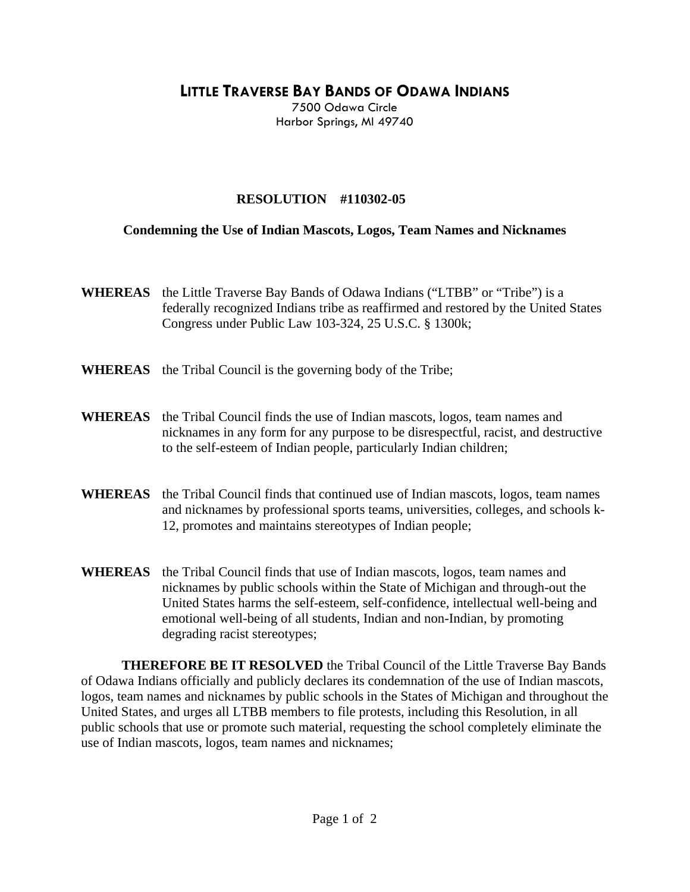**LITTLE TRAVERSE BAY BANDS OF ODAWA INDIANS**

7500 Odawa Circle Harbor Springs, MI 49740

## **RESOLUTION #110302-05**

## **Condemning the Use of Indian Mascots, Logos, Team Names and Nicknames**

- **WHEREAS** the Little Traverse Bay Bands of Odawa Indians ("LTBB" or "Tribe") is a federally recognized Indians tribe as reaffirmed and restored by the United States Congress under Public Law 103-324, 25 U.S.C. § 1300k;
- **WHEREAS** the Tribal Council is the governing body of the Tribe;
- **WHEREAS** the Tribal Council finds the use of Indian mascots, logos, team names and nicknames in any form for any purpose to be disrespectful, racist, and destructive to the self-esteem of Indian people, particularly Indian children;
- **WHEREAS** the Tribal Council finds that continued use of Indian mascots, logos, team names and nicknames by professional sports teams, universities, colleges, and schools k-12, promotes and maintains stereotypes of Indian people;
- **WHEREAS** the Tribal Council finds that use of Indian mascots, logos, team names and nicknames by public schools within the State of Michigan and through-out the United States harms the self-esteem, self-confidence, intellectual well-being and emotional well-being of all students, Indian and non-Indian, by promoting degrading racist stereotypes;

 **THEREFORE BE IT RESOLVED** the Tribal Council of the Little Traverse Bay Bands of Odawa Indians officially and publicly declares its condemnation of the use of Indian mascots, logos, team names and nicknames by public schools in the States of Michigan and throughout the United States, and urges all LTBB members to file protests, including this Resolution, in all public schools that use or promote such material, requesting the school completely eliminate the use of Indian mascots, logos, team names and nicknames;